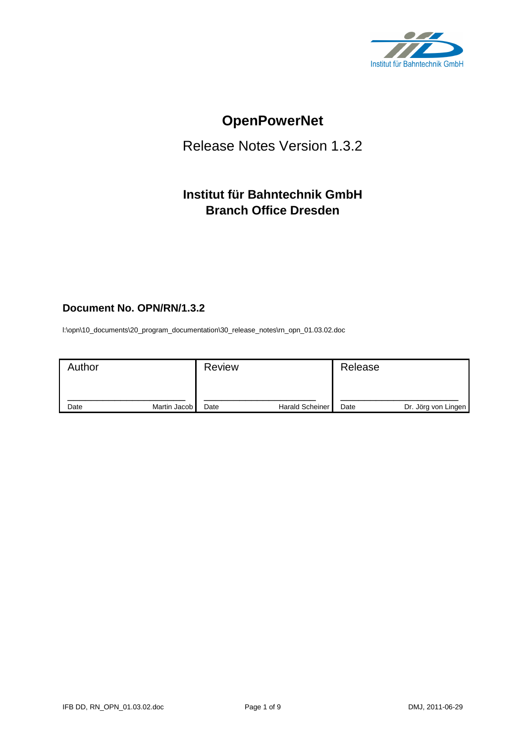

# **OpenPowerNet**

# Release Notes Version 1.3.2

# **Institut für Bahntechnik GmbH Branch Office Dresden**

# **Document No. OPN/RN/1.3.2**

l:\opn\10\_documents\20\_program\_documentation\30\_release\_notes\rn\_opn\_01.03.02.doc

| Author |              | <b>Review</b> |                        | Release |                     |
|--------|--------------|---------------|------------------------|---------|---------------------|
| Date   | Martin Jacob | Date          | <b>Harald Scheiner</b> | Date    | Dr. Jörg von Lingen |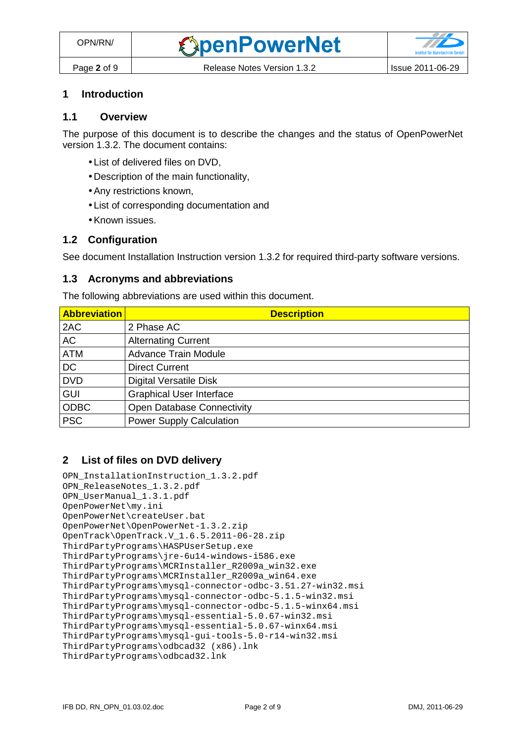# **1 Introduction**

### **1.1 Overview**

The purpose of this document is to describe the changes and the status of OpenPowerNet version 1.3.2. The document contains:

- List of delivered files on DVD,
- Description of the main functionality,
- Any restrictions known,
- List of corresponding documentation and
- Known issues.

### **1.2 Configuration**

See document Installation Instruction version 1.3.2 for required third-party software versions.

#### **1.3 Acronyms and abbreviations**

The following abbreviations are used within this document.

| <b>Abbreviation</b> | <b>Description</b>              |
|---------------------|---------------------------------|
| 2AC                 | 2 Phase AC                      |
| AC                  | <b>Alternating Current</b>      |
| <b>ATM</b>          | <b>Advance Train Module</b>     |
| <b>DC</b>           | <b>Direct Current</b>           |
| <b>DVD</b>          | <b>Digital Versatile Disk</b>   |
| <b>GUI</b>          | <b>Graphical User Interface</b> |
| <b>ODBC</b>         | Open Database Connectivity      |
| <b>PSC</b>          | <b>Power Supply Calculation</b> |

### **2 List of files on DVD delivery**

```
OPN_InstallationInstruction_1.3.2.pdf 
OPN_ReleaseNotes_1.3.2.pdf 
OPN_UserManual_1.3.1.pdf 
OpenPowerNet\my.ini 
OpenPowerNet\createUser.bat 
OpenPowerNet\OpenPowerNet-1.3.2.zip 
OpenTrack\OpenTrack.V_1.6.5.2011-06-28.zip 
ThirdPartyPrograms\HASPUserSetup.exe 
ThirdPartyPrograms\jre-6u14-windows-i586.exe 
ThirdPartyPrograms\MCRInstaller_R2009a_win32.exe 
ThirdPartyPrograms\MCRInstaller_R2009a_win64.exe 
ThirdPartyPrograms\mysql-connector-odbc-3.51.27-win32.msi 
ThirdPartyPrograms\mysql-connector-odbc-5.1.5-win32.msi 
ThirdPartyPrograms\mysql-connector-odbc-5.1.5-winx64.msi 
ThirdPartyPrograms\mysql-essential-5.0.67-win32.msi
ThirdPartyPrograms\mysql-essential-5.0.67-winx64.msi 
ThirdPartyPrograms\mysql-gui-tools-5.0-r14-win32.msi 
ThirdPartyPrograms\odbcad32 (x86).lnk 
ThirdPartyPrograms\odbcad32.lnk
```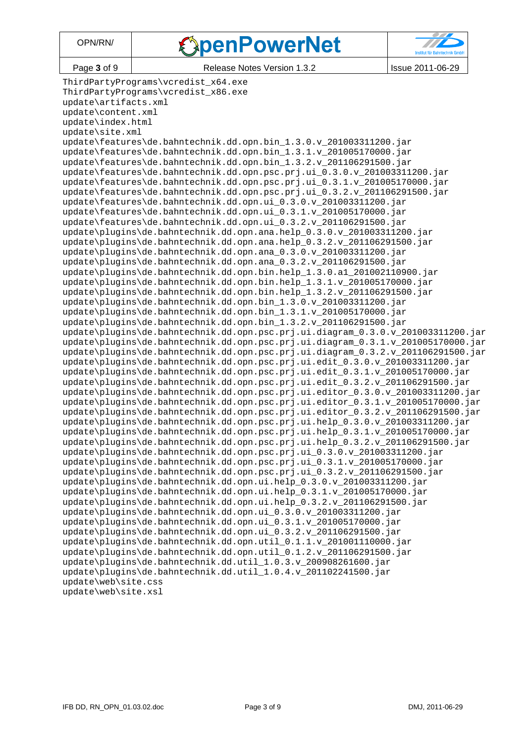# **SpenPowerNet**



Page 3 of 9 Release Notes Version 1.3.2 | Issue 2011-06-29

ThirdPartyPrograms\vcredist\_x64.exe ThirdPartyPrograms\vcredist\_x86.exe update\artifacts.xml update\content.xml update\index.html update\site.xml update\features\de.bahntechnik.dd.opn.bin\_1.3.0.v\_201003311200.jar update\features\de.bahntechnik.dd.opn.bin 1.3.1.v 201005170000.jar update\features\de.bahntechnik.dd.opn.bin 1.3.2.v 201106291500.jar update\features\de.bahntechnik.dd.opn.psc.prj.ui\_0.3.0.v\_201003311200.jar update\features\de.bahntechnik.dd.opn.psc.prj.ui\_0.3.1.v\_201005170000.jar update\features\de.bahntechnik.dd.opn.psc.prj.ui\_0.3.2.v\_201106291500.jar update\features\de.bahntechnik.dd.opn.ui\_0.3.0.v\_201003311200.jar update\features\de.bahntechnik.dd.opn.ui\_0.3.1.v\_201005170000.jar update\features\de.bahntechnik.dd.opn.ui\_0.3.2.v\_201106291500.jar update\plugins\de.bahntechnik.dd.opn.ana.help\_0.3.0.v\_201003311200.jar update\plugins\de.bahntechnik.dd.opn.ana.help\_0.3.2.v\_201106291500.jar update\plugins\de.bahntechnik.dd.opn.ana 0.3.0.v 201003311200.jar update\plugins\de.bahntechnik.dd.opn.ana 0.3.2.v 201106291500.jar update\plugins\de.bahntechnik.dd.opn.bin.help\_1.3.0.a1\_201002110900.jar update\plugins\de.bahntechnik.dd.opn.bin.help\_1.3.1.v\_201005170000.jar update\plugins\de.bahntechnik.dd.opn.bin.help\_1.3.2.v\_201106291500.jar update\plugins\de.bahntechnik.dd.opn.bin\_1.3.0.v\_201003311200.jar update\plugins\de.bahntechnik.dd.opn.bin\_1.3.1.v\_201005170000.jar update\plugins\de.bahntechnik.dd.opn.bin\_1.3.2.v\_201106291500.jar update\plugins\de.bahntechnik.dd.opn.psc.prj.ui.diagram\_0.3.0.v\_201003311200.jar update\plugins\de.bahntechnik.dd.opn.psc.prj.ui.diagram\_0.3.1.v\_201005170000.jar update\plugins\de.bahntechnik.dd.opn.psc.prj.ui.diagram\_0.3.2.v\_201106291500.jar update\plugins\de.bahntechnik.dd.opn.psc.prj.ui.edit\_0.3.0.v\_201003311200.jar update\plugins\de.bahntechnik.dd.opn.psc.prj.ui.edit\_0.3.1.v\_201005170000.jar update\plugins\de.bahntechnik.dd.opn.psc.prj.ui.edit\_0.3.2.v\_201106291500.jar update\plugins\de.bahntechnik.dd.opn.psc.prj.ui.editor\_0.3.0.v\_201003311200.jar update\plugins\de.bahntechnik.dd.opn.psc.prj.ui.editor\_0.3.1.v\_201005170000.jar update\plugins\de.bahntechnik.dd.opn.psc.prj.ui.editor\_0.3.2.v\_201106291500.jar update\plugins\de.bahntechnik.dd.opn.psc.prj.ui.help 0.3.0.v 201003311200.jar update\plugins\de.bahntechnik.dd.opn.psc.prj.ui.help 0.3.1.v 201005170000.jar update\plugins\de.bahntechnik.dd.opn.psc.prj.ui.help\_0.3.2.v\_201106291500.jar update\plugins\de.bahntechnik.dd.opn.psc.prj.ui\_0.3.0.v\_201003311200.jar update\plugins\de.bahntechnik.dd.opn.psc.prj.ui\_0.3.1.v\_201005170000.jar update\plugins\de.bahntechnik.dd.opn.psc.prj.ui\_0.3.2.v\_201106291500.jar update\plugins\de.bahntechnik.dd.opn.ui.help\_0.3.0.v\_201003311200.jar update\plugins\de.bahntechnik.dd.opn.ui.help\_0.3.1.v\_201005170000.jar update\plugins\de.bahntechnik.dd.opn.ui.help\_0.3.2.v\_201106291500.jar update\plugins\de.bahntechnik.dd.opn.ui\_0.3.0.v\_201003311200.jar update\plugins\de.bahntechnik.dd.opn.ui 0.3.1.v 201005170000.jar update\plugins\de.bahntechnik.dd.opn.ui 0.3.2.v 201106291500.jar update\plugins\de.bahntechnik.dd.opn.util 0.1.1.v 201001110000.jar update\plugins\de.bahntechnik.dd.opn.util 0.1.2.v 201106291500.jar update\plugins\de.bahntechnik.dd.util\_1.0.3.v\_200908261600.jar update\plugins\de.bahntechnik.dd.util\_1.0.4.v\_201102241500.jar update\web\site.css update\web\site.xsl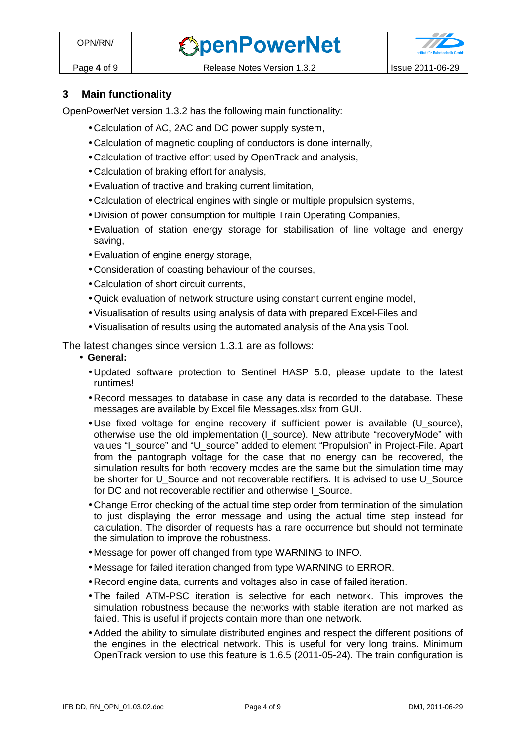

# **3 Main functionality**

OpenPowerNet version 1.3.2 has the following main functionality:

- Calculation of AC, 2AC and DC power supply system,
- Calculation of magnetic coupling of conductors is done internally,
- Calculation of tractive effort used by OpenTrack and analysis,
- Calculation of braking effort for analysis,
- Evaluation of tractive and braking current limitation,
- Calculation of electrical engines with single or multiple propulsion systems,
- Division of power consumption for multiple Train Operating Companies,
- Evaluation of station energy storage for stabilisation of line voltage and energy saving,
- Evaluation of engine energy storage,
- Consideration of coasting behaviour of the courses,
- Calculation of short circuit currents,
- Quick evaluation of network structure using constant current engine model,
- Visualisation of results using analysis of data with prepared Excel-Files and
- Visualisation of results using the automated analysis of the Analysis Tool.

The latest changes since version 1.3.1 are as follows:

- **General:** 
	- Updated software protection to Sentinel HASP 5.0, please update to the latest runtimes!
	- Record messages to database in case any data is recorded to the database. These messages are available by Excel file Messages.xlsx from GUI.
	- Use fixed voltage for engine recovery if sufficient power is available (U source), otherwise use the old implementation (I\_source). New attribute "recoveryMode" with values "I\_source" and "U\_source" added to element "Propulsion" in Project-File. Apart from the pantograph voltage for the case that no energy can be recovered, the simulation results for both recovery modes are the same but the simulation time may be shorter for U\_Source and not recoverable rectifiers. It is advised to use U\_Source for DC and not recoverable rectifier and otherwise I Source.
	- Change Error checking of the actual time step order from termination of the simulation to just displaying the error message and using the actual time step instead for calculation. The disorder of requests has a rare occurrence but should not terminate the simulation to improve the robustness.
	- Message for power off changed from type WARNING to INFO.
	- Message for failed iteration changed from type WARNING to ERROR.
	- Record engine data, currents and voltages also in case of failed iteration.
	- The failed ATM-PSC iteration is selective for each network. This improves the simulation robustness because the networks with stable iteration are not marked as failed. This is useful if projects contain more than one network.
	- Added the ability to simulate distributed engines and respect the different positions of the engines in the electrical network. This is useful for very long trains. Minimum OpenTrack version to use this feature is 1.6.5 (2011-05-24). The train configuration is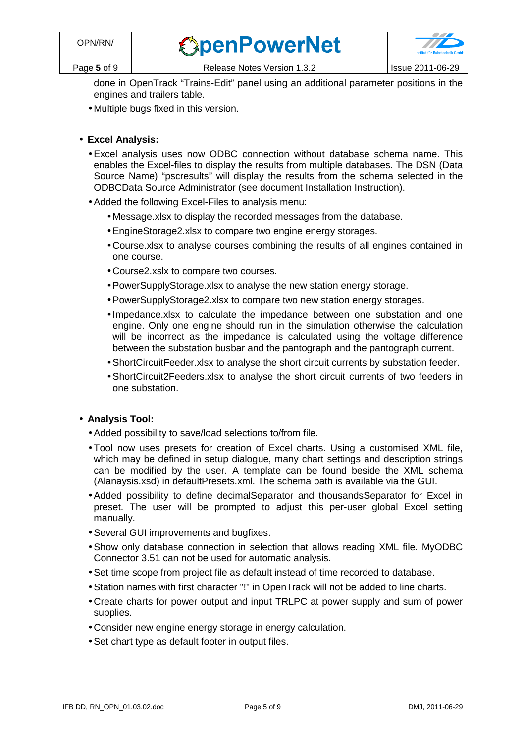| <b><i><u>ExpenPowerNet</u></i></b> |  |
|------------------------------------|--|
|                                    |  |
|                                    |  |

done in OpenTrack "Trains-Edit" panel using an additional parameter positions in the engines and trailers table.

• Multiple bugs fixed in this version.

### • **Excel Analysis:**

- Excel analysis uses now ODBC connection without database schema name. This enables the Excel-files to display the results from multiple databases. The DSN (Data Source Name) "pscresults" will display the results from the schema selected in the ODBCData Source Administrator (see document Installation Instruction).
- Added the following Excel-Files to analysis menu:
	- Message.xlsx to display the recorded messages from the database.
	- EngineStorage2.xlsx to compare two engine energy storages.
	- Course.xlsx to analyse courses combining the results of all engines contained in one course.
	- Course2.xslx to compare two courses.
	- PowerSupplyStorage.xlsx to analyse the new station energy storage.
	- PowerSupplyStorage2.xlsx to compare two new station energy storages.
	- Impedance.xlsx to calculate the impedance between one substation and one engine. Only one engine should run in the simulation otherwise the calculation will be incorrect as the impedance is calculated using the voltage difference between the substation busbar and the pantograph and the pantograph current.
	- ShortCircuitFeeder.xlsx to analyse the short circuit currents by substation feeder.
	- ShortCircuit2Feeders.xlsx to analyse the short circuit currents of two feeders in one substation.

### • **Analysis Tool:**

- Added possibility to save/load selections to/from file.
- Tool now uses presets for creation of Excel charts. Using a customised XML file, which may be defined in setup dialogue, many chart settings and description strings can be modified by the user. A template can be found beside the XML schema (Alanaysis.xsd) in defaultPresets.xml. The schema path is available via the GUI.
- Added possibility to define decimalSeparator and thousandsSeparator for Excel in preset. The user will be prompted to adjust this per-user global Excel setting manually.
- Several GUI improvements and bugfixes.
- Show only database connection in selection that allows reading XML file. MyODBC Connector 3.51 can not be used for automatic analysis.
- Set time scope from project file as default instead of time recorded to database.
- Station names with first character "!" in OpenTrack will not be added to line charts.
- Create charts for power output and input TRLPC at power supply and sum of power supplies.
- Consider new engine energy storage in energy calculation.
- Set chart type as default footer in output files.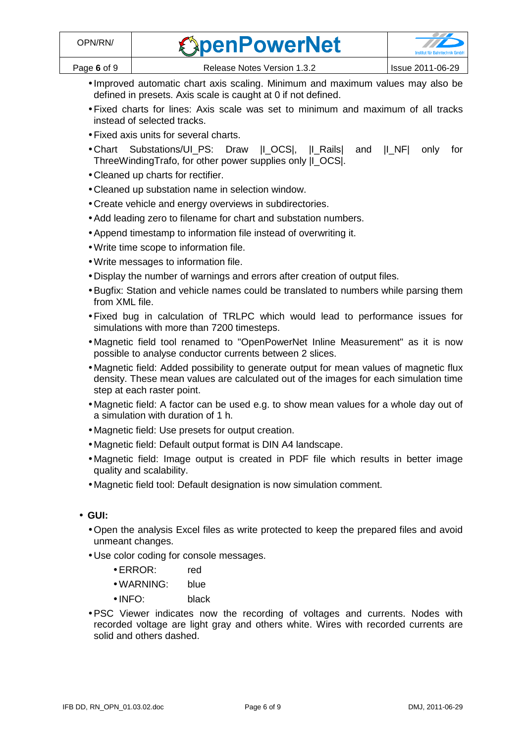| <b><i><u>ExpenPowerNet</u></i></b> |  |
|------------------------------------|--|
|                                    |  |

- Improved automatic chart axis scaling. Minimum and maximum values may also be defined in presets. Axis scale is caught at 0 if not defined.
- Fixed charts for lines: Axis scale was set to minimum and maximum of all tracks instead of selected tracks.
- Fixed axis units for several charts.
- Chart Substations/UI\_PS: Draw |I\_OCS|, |I\_Rails| and |I\_NF| only for ThreeWindingTrafo, for other power supplies only |I\_OCS|.
- Cleaned up charts for rectifier.
- Cleaned up substation name in selection window.
- Create vehicle and energy overviews in subdirectories.
- Add leading zero to filename for chart and substation numbers.
- Append timestamp to information file instead of overwriting it.
- Write time scope to information file.
- Write messages to information file.
- Display the number of warnings and errors after creation of output files.
- Bugfix: Station and vehicle names could be translated to numbers while parsing them from XML file.
- Fixed bug in calculation of TRLPC which would lead to performance issues for simulations with more than 7200 timesteps.
- Magnetic field tool renamed to "OpenPowerNet Inline Measurement" as it is now possible to analyse conductor currents between 2 slices.
- Magnetic field: Added possibility to generate output for mean values of magnetic flux density. These mean values are calculated out of the images for each simulation time step at each raster point.
- Magnetic field: A factor can be used e.g. to show mean values for a whole day out of a simulation with duration of 1 h.
- Magnetic field: Use presets for output creation.
- Magnetic field: Default output format is DIN A4 landscape.
- Magnetic field: Image output is created in PDF file which results in better image quality and scalability.
- Magnetic field tool: Default designation is now simulation comment.
- **GUI:** 
	- Open the analysis Excel files as write protected to keep the prepared files and avoid unmeant changes.
	- Use color coding for console messages.
		- ERROR: red
		- WARNING: blue
		- INFO: black
	- PSC Viewer indicates now the recording of voltages and currents. Nodes with recorded voltage are light gray and others white. Wires with recorded currents are solid and others dashed.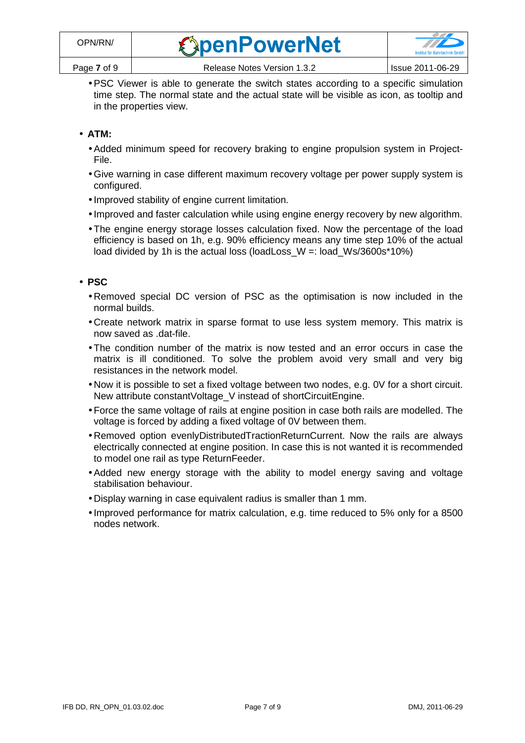• PSC Viewer is able to generate the switch states according to a specific simulation time step. The normal state and the actual state will be visible as icon, as tooltip and in the properties view.

# • **ATM:**

- Added minimum speed for recovery braking to engine propulsion system in Project-File.
- Give warning in case different maximum recovery voltage per power supply system is configured.
- Improved stability of engine current limitation.
- Improved and faster calculation while using engine energy recovery by new algorithm.
- The engine energy storage losses calculation fixed. Now the percentage of the load efficiency is based on 1h, e.g. 90% efficiency means any time step 10% of the actual load divided by 1h is the actual loss (loadLoss\_W =: load\_Ws/3600s\*10%)

## • **PSC**

- Removed special DC version of PSC as the optimisation is now included in the normal builds.
- Create network matrix in sparse format to use less system memory. This matrix is now saved as .dat-file.
- The condition number of the matrix is now tested and an error occurs in case the matrix is ill conditioned. To solve the problem avoid very small and very big resistances in the network model.
- Now it is possible to set a fixed voltage between two nodes, e.g. 0V for a short circuit. New attribute constantVoltage\_V instead of shortCircuitEngine.
- Force the same voltage of rails at engine position in case both rails are modelled. The voltage is forced by adding a fixed voltage of 0V between them.
- Removed option evenlyDistributedTractionReturnCurrent. Now the rails are always electrically connected at engine position. In case this is not wanted it is recommended to model one rail as type ReturnFeeder.
- Added new energy storage with the ability to model energy saving and voltage stabilisation behaviour.
- Display warning in case equivalent radius is smaller than 1 mm.
- Improved performance for matrix calculation, e.g. time reduced to 5% only for a 8500 nodes network.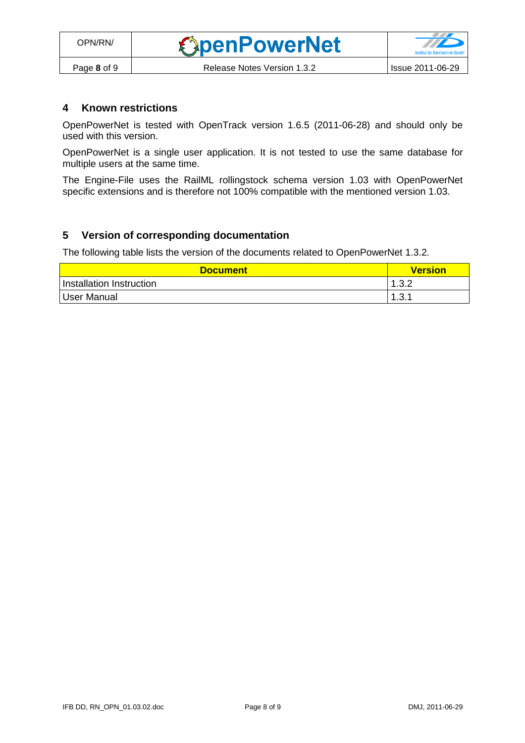## **4 Known restrictions**

OpenPowerNet is tested with OpenTrack version 1.6.5 (2011-06-28) and should only be used with this version.

OpenPowerNet is a single user application. It is not tested to use the same database for multiple users at the same time.

The Engine-File uses the RailML rollingstock schema version 1.03 with OpenPowerNet specific extensions and is therefore not 100% compatible with the mentioned version 1.03.

## **5 Version of corresponding documentation**

The following table lists the version of the documents related to OpenPowerNet 1.3.2.

| <b>Document</b>          | <b>Version</b> |
|--------------------------|----------------|
| Installation Instruction | 1.3.2          |
| User Manual              | 1.3.1          |